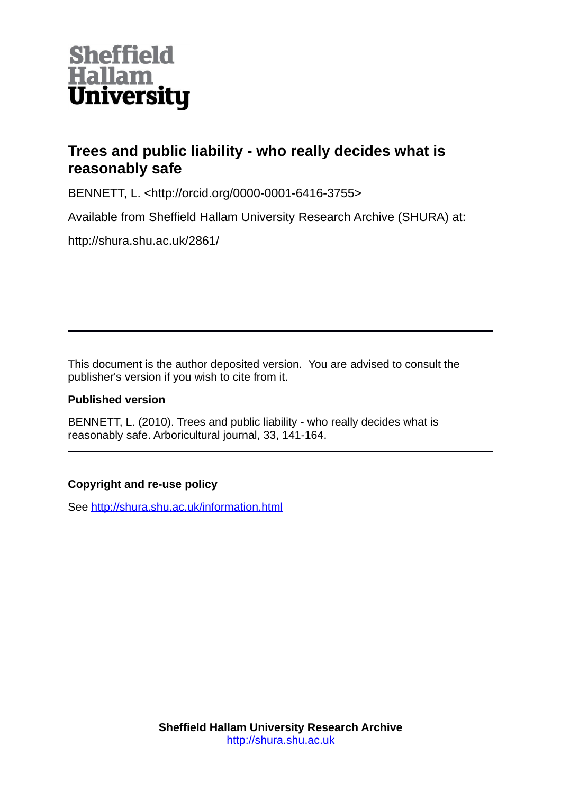

# **Trees and public liability - who really decides what is reasonably safe**

BENNETT, L. <http://orcid.org/0000-0001-6416-3755>

Available from Sheffield Hallam University Research Archive (SHURA) at:

http://shura.shu.ac.uk/2861/

This document is the author deposited version. You are advised to consult the publisher's version if you wish to cite from it.

# **Published version**

BENNETT, L. (2010). Trees and public liability - who really decides what is reasonably safe. Arboricultural journal, 33, 141-164.

# **Copyright and re-use policy**

See<http://shura.shu.ac.uk/information.html>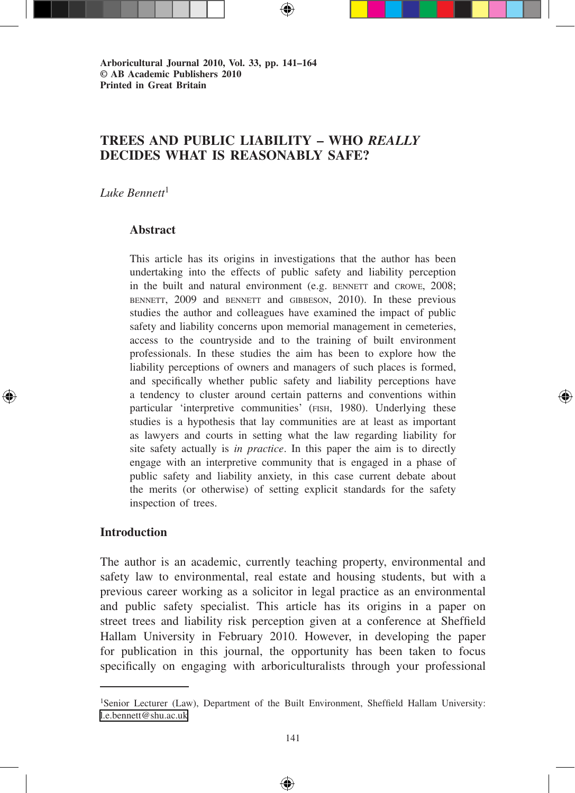**Arboricultural Journal 2010, Vol. 33, pp. 141–164 © AB Academic Publishers 2010 Printed in Great Britain**

# **TREES and PUBLIC LIABILITY – WHO** *REALLY* **DECIDES WHAT IS REASONABLY SAFE?**

⊕

*Luke Bennett*<sup>1</sup>

#### **Abstract**

This article has its origins in investigations that the author has been undertaking into the effects of public safety and liability perception in the built and natural environment (e.g. BENNETT and CROWE, 2008; bennett, 2009 and bennett and gibbeson, 2010). In these previous studies the author and colleagues have examined the impact of public safety and liability concerns upon memorial management in cemeteries, access to the countryside and to the training of built environment professionals. In these studies the aim has been to explore how the liability perceptions of owners and managers of such places is formed, and specifically whether public safety and liability perceptions have a tendency to cluster around certain patterns and conventions within particular 'interpretive communities' (fish, 1980). Underlying these studies is a hypothesis that lay communities are at least as important as lawyers and courts in setting what the law regarding liability for site safety actually is *in practice*. In this paper the aim is to directly engage with an interpretive community that is engaged in a phase of public safety and liability anxiety, in this case current debate about the merits (or otherwise) of setting explicit standards for the safety inspection of trees.

## **Introduction**

↔

The author is an academic, currently teaching property, environmental and safety law to environmental, real estate and housing students, but with a previous career working as a solicitor in legal practice as an environmental and public safety specialist. This article has its origins in a paper on street trees and liability risk perception given at a conference at Sheffield Hallam University in February 2010. However, in developing the paper for publication in this journal, the opportunity has been taken to focus specifically on engaging with arboriculturalists through your professional

<sup>1</sup>Senior Lecturer (Law), Department of the Built Environment, Sheffield Hallam University: [l.e.bennett@shu.ac.uk](mailto:l.e.bennett@shu.ac.uk)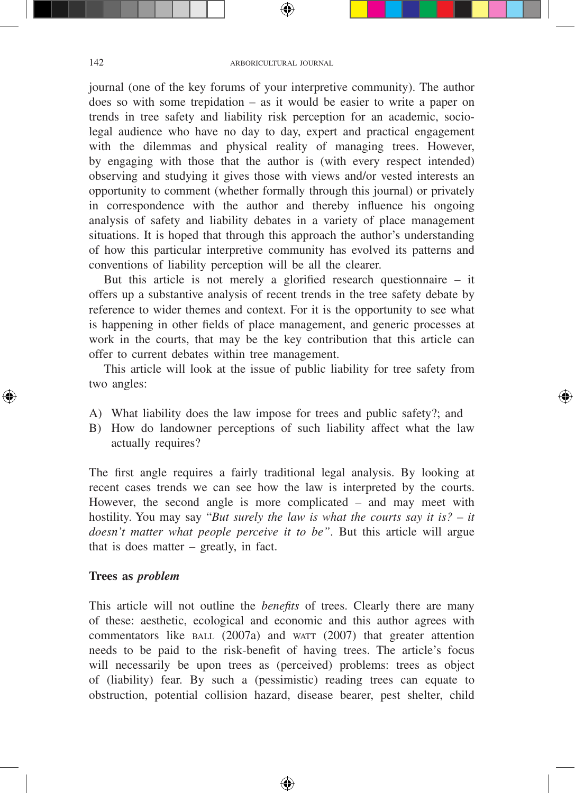journal (one of the key forums of your interpretive community). The author does so with some trepidation – as it would be easier to write a paper on trends in tree safety and liability risk perception for an academic, sociolegal audience who have no day to day, expert and practical engagement with the dilemmas and physical reality of managing trees. However, by engaging with those that the author is (with every respect intended) observing and studying it gives those with views and/or vested interests an opportunity to comment (whether formally through this journal) or privately in correspondence with the author and thereby influence his ongoing analysis of safety and liability debates in a variety of place management situations. It is hoped that through this approach the author's understanding of how this particular interpretive community has evolved its patterns and conventions of liability perception will be all the clearer.

But this article is not merely a glorified research questionnaire – it offers up a substantive analysis of recent trends in the tree safety debate by reference to wider themes and context. For it is the opportunity to see what is happening in other fields of place management, and generic processes at work in the courts, that may be the key contribution that this article can offer to current debates within tree management.

This article will look at the issue of public liability for tree safety from two angles:

- A) What liability does the law impose for trees and public safety?; and
- B) How do landowner perceptions of such liability affect what the law actually requires?

The first angle requires a fairly traditional legal analysis. By looking at recent cases trends we can see how the law is interpreted by the courts. However, the second angle is more complicated – and may meet with hostility. You may say "*But surely the law is what the courts say it is? – it doesn't matter what people perceive it to be"*. But this article will argue that is does matter – greatly, in fact.

#### **Trees as** *problem*

This article will not outline the *benefits* of trees. Clearly there are many of these: aesthetic, ecological and economic and this author agrees with commentators like  $BALL (2007a)$  and warr (2007) that greater attention needs to be paid to the risk-benefit of having trees. The article's focus will necessarily be upon trees as (perceived) problems: trees as object of (liability) fear. By such a (pessimistic) reading trees can equate to obstruction, potential collision hazard, disease bearer, pest shelter, child

◈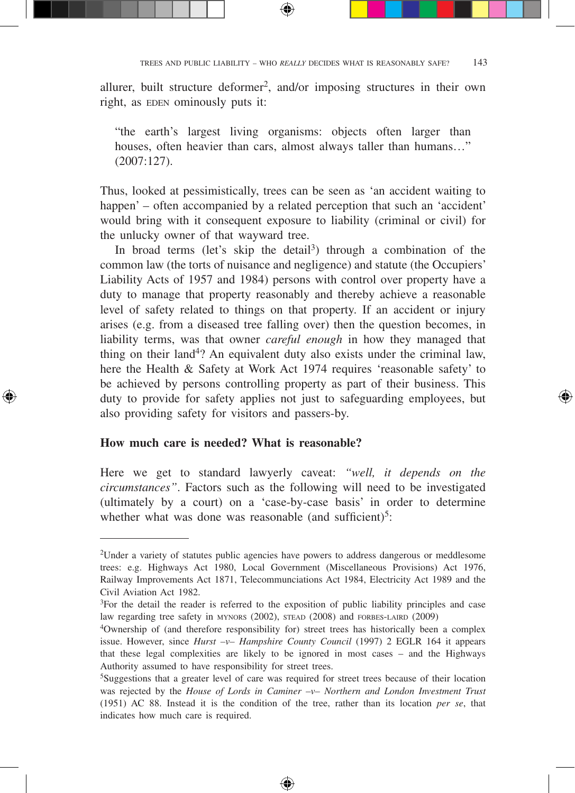allurer, built structure deformer<sup>2</sup>, and/or imposing structures in their own right, as EDEN ominously puts it:

⊕

"the earth's largest living organisms: objects often larger than houses, often heavier than cars, almost always taller than humans…" (2007:127).

Thus, looked at pessimistically, trees can be seen as 'an accident waiting to happen' – often accompanied by a related perception that such an 'accident' would bring with it consequent exposure to liability (criminal or civil) for the unlucky owner of that wayward tree.

In broad terms (let's skip the detail<sup>3</sup>) through a combination of the common law (the torts of nuisance and negligence) and statute (the Occupiers' Liability Acts of 1957 and 1984) persons with control over property have a duty to manage that property reasonably and thereby achieve a reasonable level of safety related to things on that property. If an accident or injury arises (e.g. from a diseased tree falling over) then the question becomes, in liability terms, was that owner *careful enough* in how they managed that thing on their land<sup>4</sup>? An equivalent duty also exists under the criminal law, here the Health & Safety at Work Act 1974 requires 'reasonable safety' to be achieved by persons controlling property as part of their business. This duty to provide for safety applies not just to safeguarding employees, but also providing safety for visitors and passers-by.

#### **How much care is needed? What is reasonable?**

↔

Here we get to standard lawyerly caveat: *"well, it depends on the circumstances"*. Factors such as the following will need to be investigated (ultimately by a court) on a 'case-by-case basis' in order to determine whether what was done was reasonable (and sufficient)<sup>5</sup>:

<sup>2</sup>Under a variety of statutes public agencies have powers to address dangerous or meddlesome trees: e.g. Highways Act 1980, Local Government (Miscellaneous Provisions) Act 1976, Railway Improvements Act 1871, Telecommunciations Act 1984, Electricity Act 1989 and the Civil Aviation Act 1982.

<sup>3</sup>For the detail the reader is referred to the exposition of public liability principles and case law regarding tree safety in MYNORS (2002), STEAD (2008) and FORBES-LAIRD (2009) <sup>4</sup>Ownership of (and therefore responsibility for) street trees has historically been a complex

issue. However, since *Hurst –v– Hampshire County Council* (1997) 2 EGLR 164 it appears that these legal complexities are likely to be ignored in most cases – and the Highways Authority assumed to have responsibility for street trees.

<sup>5</sup>Suggestions that a greater level of care was required for street trees because of their location was rejected by the *House of Lords in Caminer –v– Northern and London Investment Trust* (1951) AC 88. Instead it is the condition of the tree, rather than its location *per se*, that indicates how much care is required.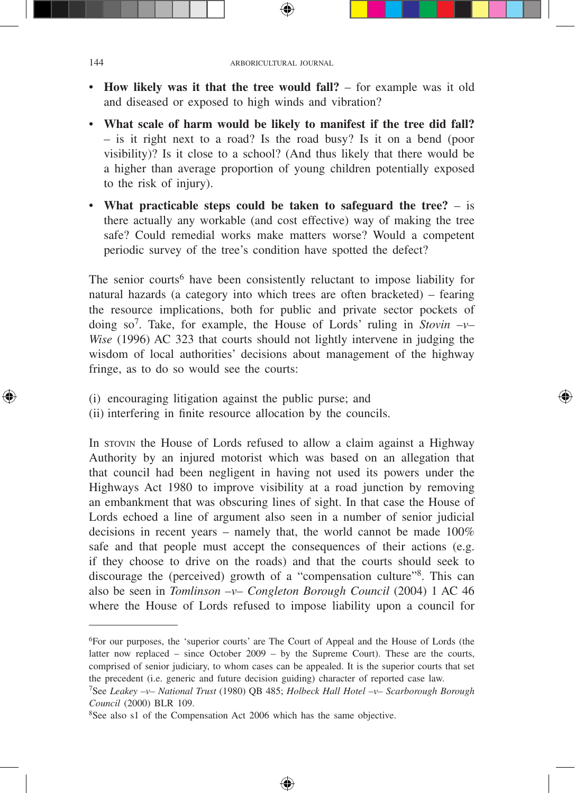- **How likely was it that the tree would fall?** for example was it old and diseased or exposed to high winds and vibration?
- **What scale of harm would be likely to manifest if the tree did fall?** – is it right next to a road? Is the road busy? Is it on a bend (poor visibility)? Is it close to a school? (And thus likely that there would be a higher than average proportion of young children potentially exposed to the risk of injury).
- **What practicable steps could be taken to safeguard the tree?**  is there actually any workable (and cost effective) way of making the tree safe? Could remedial works make matters worse? Would a competent periodic survey of the tree's condition have spotted the defect?

The senior courts<sup>6</sup> have been consistently reluctant to impose liability for natural hazards (a category into which trees are often bracketed) – fearing the resource implications, both for public and private sector pockets of doing so<sup>7</sup>. Take, for example, the House of Lords' ruling in *Stovin*  $-v-$ *Wise* (1996) AC 323 that courts should not lightly intervene in judging the wisdom of local authorities' decisions about management of the highway fringe, as to do so would see the courts:

- (i) encouraging litigation against the public purse; and
- (ii) interfering in finite resource allocation by the councils.

In stovin the House of Lords refused to allow a claim against a Highway Authority by an injured motorist which was based on an allegation that that council had been negligent in having not used its powers under the Highways Act 1980 to improve visibility at a road junction by removing an embankment that was obscuring lines of sight. In that case the House of Lords echoed a line of argument also seen in a number of senior judicial decisions in recent years – namely that, the world cannot be made 100% safe and that people must accept the consequences of their actions (e.g. if they choose to drive on the roads) and that the courts should seek to discourage the (perceived) growth of a "compensation culture"8. This can also be seen in *Tomlinson –v– Congleton Borough Council* (2004) 1 AC 46 where the House of Lords refused to impose liability upon a council for

⊕

<sup>6</sup>For our purposes, the 'superior courts' are The Court of Appeal and the House of Lords (the latter now replaced – since October 2009 – by the Supreme Court). These are the courts, comprised of senior judiciary, to whom cases can be appealed. It is the superior courts that set the precedent (i.e. generic and future decision guiding) character of reported case law.

<sup>7</sup>See *Leakey –v– National Trust* (1980) QB 485; *Holbeck Hall Hotel –v– Scarborough Borough Council* (2000) BLR 109.

<sup>8</sup>See also s1 of the Compensation Act 2006 which has the same objective.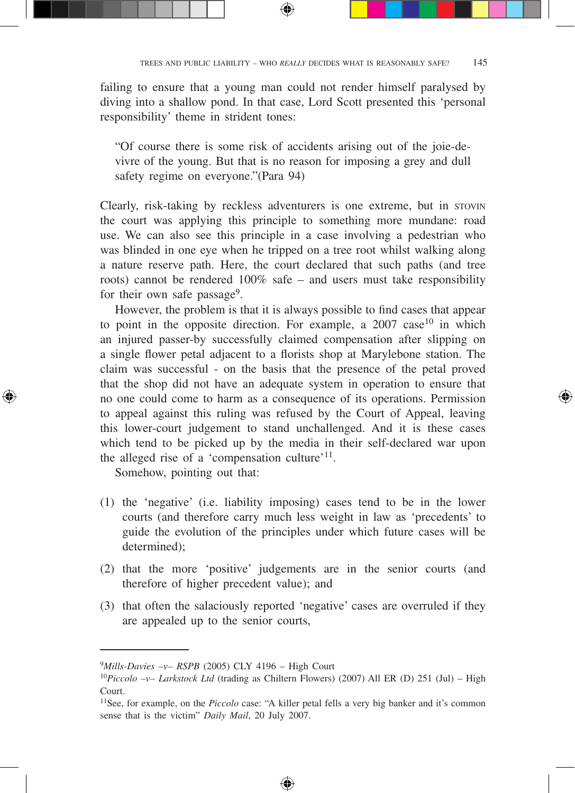failing to ensure that a young man could not render himself paralysed by diving into a shallow pond. In that case, Lord Scott presented this 'personal responsibility' theme in strident tones:

⊕

"Of course there is some risk of accidents arising out of the joie-devivre of the young. But that is no reason for imposing a grey and dull safety regime on everyone."(Para 94)

Clearly, risk-taking by reckless adventurers is one extreme, but in stovin the court was applying this principle to something more mundane: road use. We can also see this principle in a case involving a pedestrian who was blinded in one eye when he tripped on a tree root whilst walking along a nature reserve path. Here, the court declared that such paths (and tree roots) cannot be rendered 100% safe – and users must take responsibility for their own safe passage<sup>9</sup>.

However, the problem is that it is always possible to find cases that appear to point in the opposite direction. For example, a  $2007$  case<sup>10</sup> in which an injured passer-by successfully claimed compensation after slipping on a single flower petal adjacent to a florists shop at Marylebone station. The claim was successful - on the basis that the presence of the petal proved that the shop did not have an adequate system in operation to ensure that no one could come to harm as a consequence of its operations. Permission to appeal against this ruling was refused by the Court of Appeal, leaving this lower-court judgement to stand unchallenged. And it is these cases which tend to be picked up by the media in their self-declared war upon the alleged rise of a 'compensation culture'11.

Somehow, pointing out that:

↔

- (1) the 'negative' (i.e. liability imposing) cases tend to be in the lower courts (and therefore carry much less weight in law as 'precedents' to guide the evolution of the principles under which future cases will be determined);
- (2) that the more 'positive' judgements are in the senior courts (and therefore of higher precedent value); and
- (3) that often the salaciously reported 'negative' cases are overruled if they are appealed up to the senior courts,

<sup>9</sup>*Mills-Davies –v– RSPB* (2005) CLY 4196 – High Court

<sup>10</sup>*Piccolo –v– Larkstock Ltd* (trading as Chiltern Flowers) (2007) All ER (D) 251 (Jul) – High Court.

<sup>&</sup>lt;sup>11</sup>See, for example, on the *Piccolo* case: "A killer petal fells a very big banker and it's common sense that is the victim" *Daily Mail*, 20 July 2007.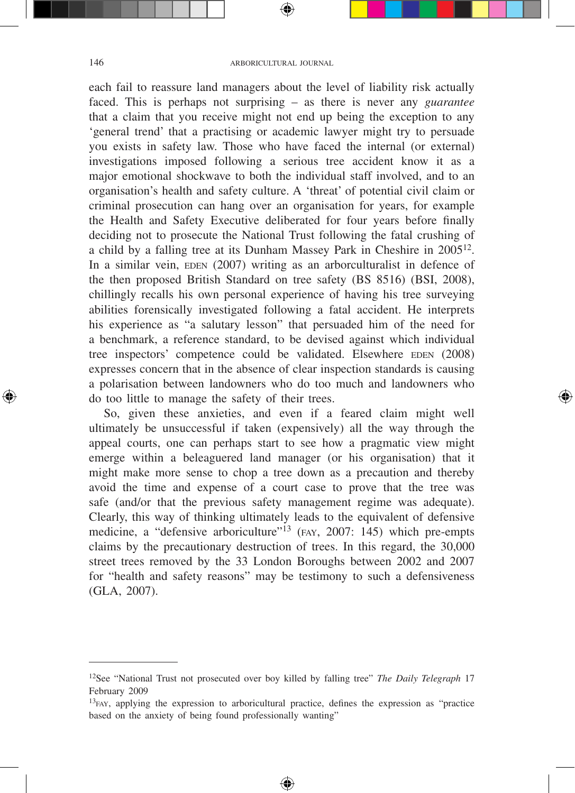#### 146 ARBORICULTURAL JOURNAL

⊕

each fail to reassure land managers about the level of liability risk actually faced. This is perhaps not surprising – as there is never any *guarantee* that a claim that you receive might not end up being the exception to any 'general trend' that a practising or academic lawyer might try to persuade you exists in safety law. Those who have faced the internal (or external) investigations imposed following a serious tree accident know it as a major emotional shockwave to both the individual staff involved, and to an organisation's health and safety culture. A 'threat' of potential civil claim or criminal prosecution can hang over an organisation for years, for example the Health and Safety Executive deliberated for four years before finally deciding not to prosecute the National Trust following the fatal crushing of a child by a falling tree at its Dunham Massey Park in Cheshire in 2005<sup>12</sup>. In a similar vein,  $EDEN (2007)$  writing as an arborculturalist in defence of the then proposed British Standard on tree safety (BS 8516) (BSI, 2008), chillingly recalls his own personal experience of having his tree surveying abilities forensically investigated following a fatal accident. He interprets his experience as "a salutary lesson" that persuaded him of the need for a benchmark, a reference standard, to be devised against which individual tree inspectors' competence could be validated. Elsewhere EDEN (2008) expresses concern that in the absence of clear inspection standards is causing a polarisation between landowners who do too much and landowners who do too little to manage the safety of their trees.

So, given these anxieties, and even if a feared claim might well ultimately be unsuccessful if taken (expensively) all the way through the appeal courts, one can perhaps start to see how a pragmatic view might emerge within a beleaguered land manager (or his organisation) that it might make more sense to chop a tree down as a precaution and thereby avoid the time and expense of a court case to prove that the tree was safe (and/or that the previous safety management regime was adequate). Clearly, this way of thinking ultimately leads to the equivalent of defensive medicine, a "defensive arboriculture"<sup>13</sup> (FAY, 2007: 145) which pre-empts claims by the precautionary destruction of trees. In this regard, the 30,000 street trees removed by the 33 London Boroughs between 2002 and 2007 for "health and safety reasons" may be testimony to such a defensiveness (GLA, 2007).

⊕

<sup>12</sup>See "National Trust not prosecuted over boy killed by falling tree" *The Daily Telegraph* 17 February 2009

<sup>&</sup>lt;sup>13</sup>FAY, applying the expression to arboricultural practice, defines the expression as "practice based on the anxiety of being found professionally wanting"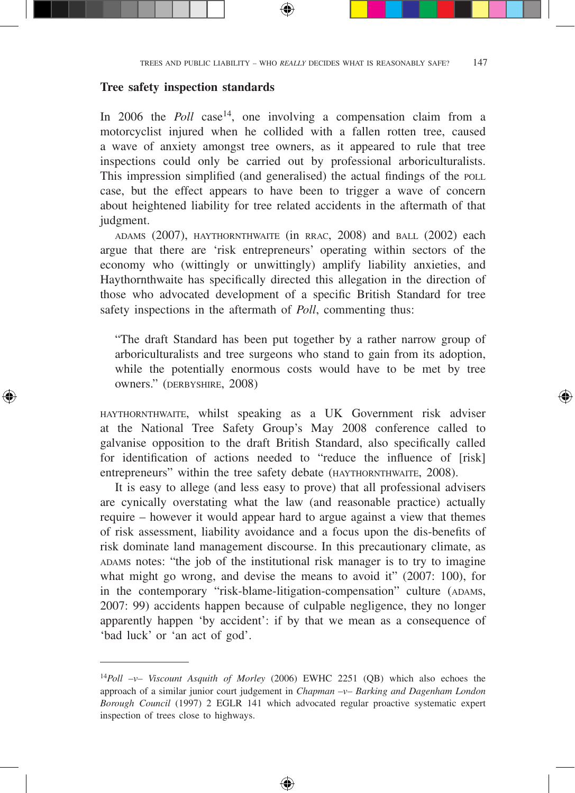#### **Tree safety inspection standards**

↔

In 2006 the *Poll* case<sup>14</sup>, one involving a compensation claim from a motorcyclist injured when he collided with a fallen rotten tree, caused a wave of anxiety amongst tree owners, as it appeared to rule that tree inspections could only be carried out by professional arboriculturalists. This impression simplified (and generalised) the actual findings of the POLL case, but the effect appears to have been to trigger a wave of concern about heightened liability for tree related accidents in the aftermath of that judgment.

adams (2007), haythornthwaite (in rrac, 2008) and ball (2002) each argue that there are 'risk entrepreneurs' operating within sectors of the economy who (wittingly or unwittingly) amplify liability anxieties, and Haythornthwaite has specifically directed this allegation in the direction of those who advocated development of a specific British Standard for tree safety inspections in the aftermath of *Poll*, commenting thus:

"The draft Standard has been put together by a rather narrow group of arboriculturalists and tree surgeons who stand to gain from its adoption, while the potentially enormous costs would have to be met by tree owners." (DERBYSHIRE, 2008)

haythornthwaite, whilst speaking as a UK Government risk adviser at the National Tree Safety Group's May 2008 conference called to galvanise opposition to the draft British Standard, also specifically called for identification of actions needed to "reduce the influence of [risk] entrepreneurs" within the tree safety debate (HAYTHORNTHWAITE, 2008).

It is easy to allege (and less easy to prove) that all professional advisers are cynically overstating what the law (and reasonable practice) actually require – however it would appear hard to argue against a view that themes of risk assessment, liability avoidance and a focus upon the dis-benefits of risk dominate land management discourse. In this precautionary climate, as ADAMS notes: "the job of the institutional risk manager is to try to imagine what might go wrong, and devise the means to avoid it" (2007: 100), for in the contemporary "risk-blame-litigation-compensation" culture (ADAMS, 2007: 99) accidents happen because of culpable negligence, they no longer apparently happen 'by accident': if by that we mean as a consequence of 'bad luck' or 'an act of god'.

<sup>14</sup>*Poll –v– Viscount Asquith of Morley* (2006) EWHC 2251 (QB) which also echoes the approach of a similar junior court judgement in *Chapman –v– Barking and Dagenham London Borough Council* (1997) 2 EGLR 141 which advocated regular proactive systematic expert inspection of trees close to highways.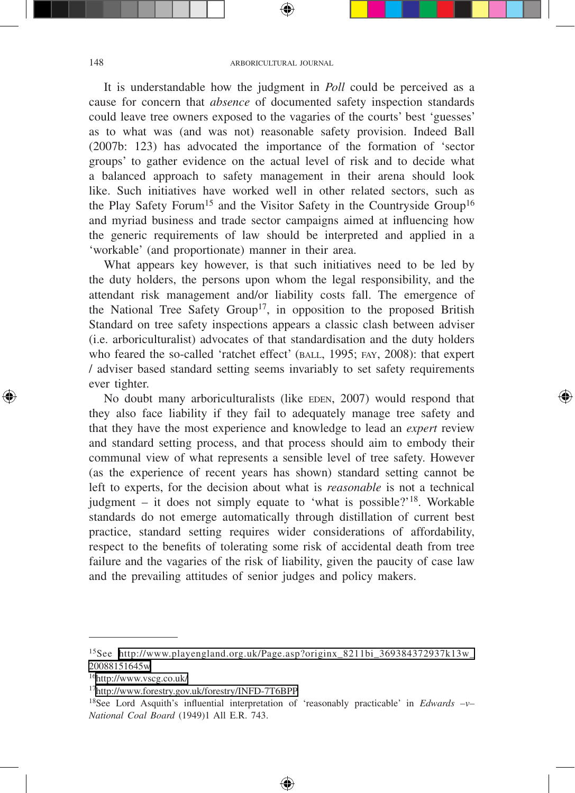It is understandable how the judgment in *Poll* could be perceived as a cause for concern that *absence* of documented safety inspection standards could leave tree owners exposed to the vagaries of the courts' best 'guesses' as to what was (and was not) reasonable safety provision. Indeed Ball (2007b: 123) has advocated the importance of the formation of 'sector groups' to gather evidence on the actual level of risk and to decide what a balanced approach to safety management in their arena should look like. Such initiatives have worked well in other related sectors, such as the Play Safety Forum<sup>15</sup> and the Visitor Safety in the Countryside Group<sup>16</sup> and myriad business and trade sector campaigns aimed at influencing how the generic requirements of law should be interpreted and applied in a 'workable' (and proportionate) manner in their area.

What appears key however, is that such initiatives need to be led by the duty holders, the persons upon whom the legal responsibility, and the attendant risk management and/or liability costs fall. The emergence of the National Tree Safety Group<sup>17</sup>, in opposition to the proposed British Standard on tree safety inspections appears a classic clash between adviser (i.e. arboriculturalist) advocates of that standardisation and the duty holders who feared the so-called 'ratchet effect' (BALL, 1995; FAY, 2008): that expert / adviser based standard setting seems invariably to set safety requirements ever tighter.

No doubt many arboriculturalists (like EDEN, 2007) would respond that they also face liability if they fail to adequately manage tree safety and that they have the most experience and knowledge to lead an *expert* review and standard setting process, and that process should aim to embody their communal view of what represents a sensible level of tree safety. However (as the experience of recent years has shown) standard setting cannot be left to experts, for the decision about what is *reasonable* is not a technical judgment – it does not simply equate to 'what is possible?'<sup>18</sup>. Workable standards do not emerge automatically through distillation of current best practice, standard setting requires wider considerations of affordability, respect to the benefits of tolerating some risk of accidental death from tree failure and the vagaries of the risk of liability, given the paucity of case law and the prevailing attitudes of senior judges and policy makers.

⊕

<sup>15</sup>See [http://www.playengland.org.uk/Page.asp?originx\\_8211bi\\_369384372937k13w\\_](http://www.playengland.org.uk/Page.asp?originx_8211bi_369384372937k13w_20088151645w) [20088151645w](http://www.playengland.org.uk/Page.asp?originx_8211bi_369384372937k13w_20088151645w)

<sup>16</sup><http://www.vscg.co.uk/>

<sup>17</sup><http://www.forestry.gov.uk/forestry/INFD-7T6BPP>

<sup>18</sup>See Lord Asquith's influential interpretation of 'reasonably practicable' in *Edwards –v– National Coal Board* (1949)1 All E.R. 743.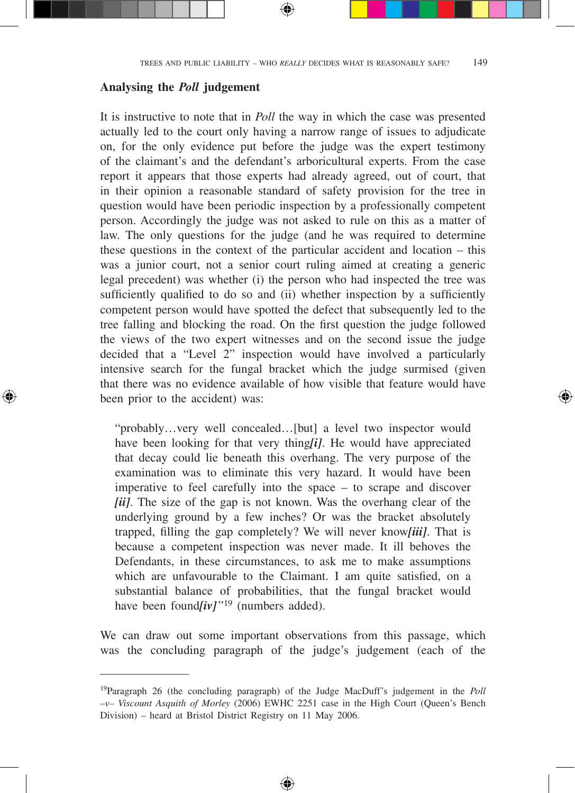#### **Analysing the** *Poll* **judgement**

↔

It is instructive to note that in *Poll* the way in which the case was presented actually led to the court only having a narrow range of issues to adjudicate on, for the only evidence put before the judge was the expert testimony of the claimant's and the defendant's arboricultural experts. From the case report it appears that those experts had already agreed, out of court, that in their opinion a reasonable standard of safety provision for the tree in question would have been periodic inspection by a professionally competent person. Accordingly the judge was not asked to rule on this as a matter of law. The only questions for the judge (and he was required to determine these questions in the context of the particular accident and location – this was a junior court, not a senior court ruling aimed at creating a generic legal precedent) was whether (i) the person who had inspected the tree was sufficiently qualified to do so and (ii) whether inspection by a sufficiently competent person would have spotted the defect that subsequently led to the tree falling and blocking the road. On the first question the judge followed the views of the two expert witnesses and on the second issue the judge decided that a "Level 2" inspection would have involved a particularly intensive search for the fungal bracket which the judge surmised (given that there was no evidence available of how visible that feature would have been prior to the accident) was:

"probably…very well concealed…[but] a level two inspector would have been looking for that very thing*[i]*. He would have appreciated that decay could lie beneath this overhang. The very purpose of the examination was to eliminate this very hazard. It would have been imperative to feel carefully into the space – to scrape and discover *[ii]*. The size of the gap is not known. Was the overhang clear of the underlying ground by a few inches? Or was the bracket absolutely trapped, filling the gap completely? We will never know*[iii]*. That is because a competent inspection was never made. It ill behoves the Defendants, in these circumstances, to ask me to make assumptions which are unfavourable to the Claimant. I am quite satisfied, on a substantial balance of probabilities, that the fungal bracket would have been found*[iv]*<sup> $\cdot$ 19</sup> (numbers added).

⊕

We can draw out some important observations from this passage, which was the concluding paragraph of the judge's judgement (each of the

<sup>19</sup>Paragraph 26 (the concluding paragraph) of the Judge MacDuff's judgement in the *Poll –v– Viscount Asquith of Morley* (2006) EWHC 2251 case in the High Court (Queen's Bench Division) – heard at Bristol District Registry on 11 May 2006.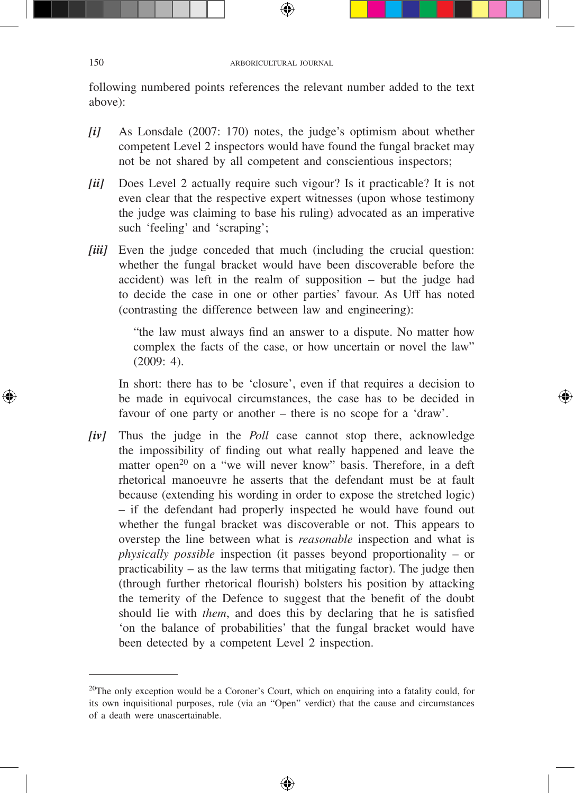following numbered points references the relevant number added to the text above):

- *[i]* As Lonsdale (2007: 170) notes, the judge's optimism about whether competent Level 2 inspectors would have found the fungal bracket may not be not shared by all competent and conscientious inspectors;
- *[ii]* Does Level 2 actually require such vigour? Is it practicable? It is not even clear that the respective expert witnesses (upon whose testimony the judge was claiming to base his ruling) advocated as an imperative such 'feeling' and 'scraping';
- *[iii]* Even the judge conceded that much (including the crucial question: whether the fungal bracket would have been discoverable before the accident) was left in the realm of supposition – but the judge had to decide the case in one or other parties' favour. As Uff has noted (contrasting the difference between law and engineering):

"the law must always find an answer to a dispute. No matter how complex the facts of the case, or how uncertain or novel the law" (2009: 4).

In short: there has to be 'closure', even if that requires a decision to be made in equivocal circumstances, the case has to be decided in favour of one party or another – there is no scope for a 'draw'.

*[iv]* Thus the judge in the *Poll* case cannot stop there, acknowledge the impossibility of finding out what really happened and leave the matter open<sup>20</sup> on a "we will never know" basis. Therefore, in a deft rhetorical manoeuvre he asserts that the defendant must be at fault because (extending his wording in order to expose the stretched logic) – if the defendant had properly inspected he would have found out whether the fungal bracket was discoverable or not. This appears to overstep the line between what is *reasonable* inspection and what is *physically possible* inspection (it passes beyond proportionality – or practicability – as the law terms that mitigating factor). The judge then (through further rhetorical flourish) bolsters his position by attacking the temerity of the Defence to suggest that the benefit of the doubt should lie with *them*, and does this by declaring that he is satisfied 'on the balance of probabilities' that the fungal bracket would have been detected by a competent Level 2 inspection.

⊕

<sup>&</sup>lt;sup>20</sup>The only exception would be a Coroner's Court, which on enquiring into a fatality could, for its own inquisitional purposes, rule (via an "Open" verdict) that the cause and circumstances of a death were unascertainable.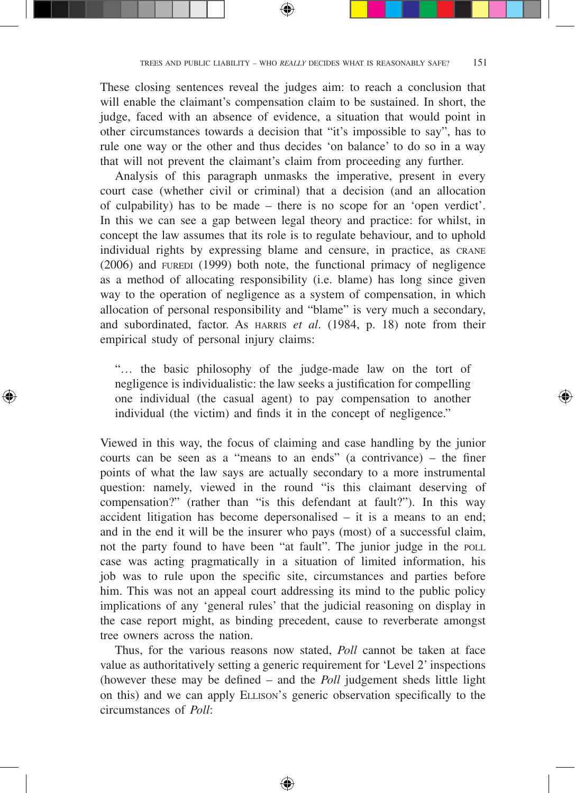These closing sentences reveal the judges aim: to reach a conclusion that will enable the claimant's compensation claim to be sustained. In short, the judge, faced with an absence of evidence, a situation that would point in other circumstances towards a decision that "it's impossible to say", has to rule one way or the other and thus decides 'on balance' to do so in a way that will not prevent the claimant's claim from proceeding any further.

Analysis of this paragraph unmasks the imperative, present in every court case (whether civil or criminal) that a decision (and an allocation of culpability) has to be made – there is no scope for an 'open verdict'. In this we can see a gap between legal theory and practice: for whilst, in concept the law assumes that its role is to regulate behaviour, and to uphold individual rights by expressing blame and censure, in practice, as crane  $(2006)$  and  $FUREDI$   $(1999)$  both note, the functional primacy of negligence as a method of allocating responsibility (i.e. blame) has long since given way to the operation of negligence as a system of compensation, in which allocation of personal responsibility and "blame" is very much a secondary, and subordinated, factor. As HARRIS *et al.* (1984, p. 18) note from their empirical study of personal injury claims:

"… the basic philosophy of the judge-made law on the tort of negligence is individualistic: the law seeks a justification for compelling one individual (the casual agent) to pay compensation to another individual (the victim) and finds it in the concept of negligence."

↔

Viewed in this way, the focus of claiming and case handling by the junior courts can be seen as a "means to an ends" (a contrivance) – the finer points of what the law says are actually secondary to a more instrumental question: namely, viewed in the round "is this claimant deserving of compensation?" (rather than "is this defendant at fault?"). In this way accident litigation has become depersonalised – it is a means to an end; and in the end it will be the insurer who pays (most) of a successful claim, not the party found to have been "at fault". The junior judge in the POLL case was acting pragmatically in a situation of limited information, his job was to rule upon the specific site, circumstances and parties before him. This was not an appeal court addressing its mind to the public policy implications of any 'general rules' that the judicial reasoning on display in the case report might, as binding precedent, cause to reverberate amongst tree owners across the nation.

Thus, for the various reasons now stated, *Poll* cannot be taken at face value as authoritatively setting a generic requirement for 'Level 2' inspections (however these may be defined – and the *Poll* judgement sheds little light on this) and we can apply Ellison's generic observation specifically to the circumstances of *Poll*: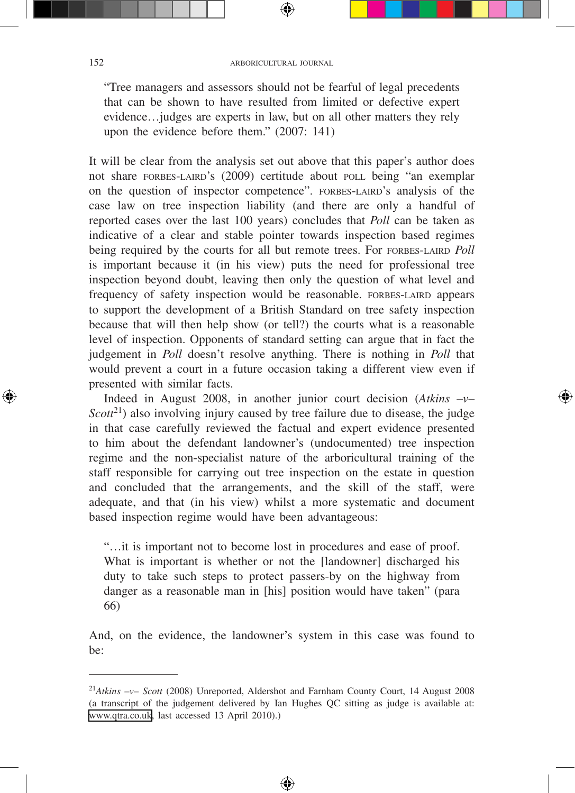"Tree managers and assessors should not be fearful of legal precedents that can be shown to have resulted from limited or defective expert evidence…judges are experts in law, but on all other matters they rely upon the evidence before them." (2007: 141)

It will be clear from the analysis set out above that this paper's author does not share FORBES-LAIRD's (2009) certitude about poll being "an exemplar on the question of inspector competence". FORBES-LAIRD's analysis of the case law on tree inspection liability (and there are only a handful of reported cases over the last 100 years) concludes that *Poll* can be taken as indicative of a clear and stable pointer towards inspection based regimes being required by the courts for all but remote trees. For FORBES-LAIRD *Poll* is important because it (in his view) puts the need for professional tree inspection beyond doubt, leaving then only the question of what level and frequency of safety inspection would be reasonable. FORBES-LAIRD appears to support the development of a British Standard on tree safety inspection because that will then help show (or tell?) the courts what is a reasonable level of inspection. Opponents of standard setting can argue that in fact the judgement in *Poll* doesn't resolve anything. There is nothing in *Poll* that would prevent a court in a future occasion taking a different view even if presented with similar facts.

Indeed in August 2008, in another junior court decision (*Atkins –v–*   $Scott^{21}$ ) also involving injury caused by tree failure due to disease, the judge in that case carefully reviewed the factual and expert evidence presented to him about the defendant landowner's (undocumented) tree inspection regime and the non-specialist nature of the arboricultural training of the staff responsible for carrying out tree inspection on the estate in question and concluded that the arrangements, and the skill of the staff, were adequate, and that (in his view) whilst a more systematic and document based inspection regime would have been advantageous:

"…it is important not to become lost in procedures and ease of proof. What is important is whether or not the [landowner] discharged his duty to take such steps to protect passers-by on the highway from danger as a reasonable man in [his] position would have taken" (para 66)

And, on the evidence, the landowner's system in this case was found to be:

⊕

<sup>21</sup>*Atkins –v– Scott* (2008) Unreported, Aldershot and Farnham County Court, 14 August 2008 (a transcript of the judgement delivered by Ian Hughes QC sitting as judge is available at: [www.qtra.co.uk,](http://www.qtra.co.uk) last accessed 13 April 2010).)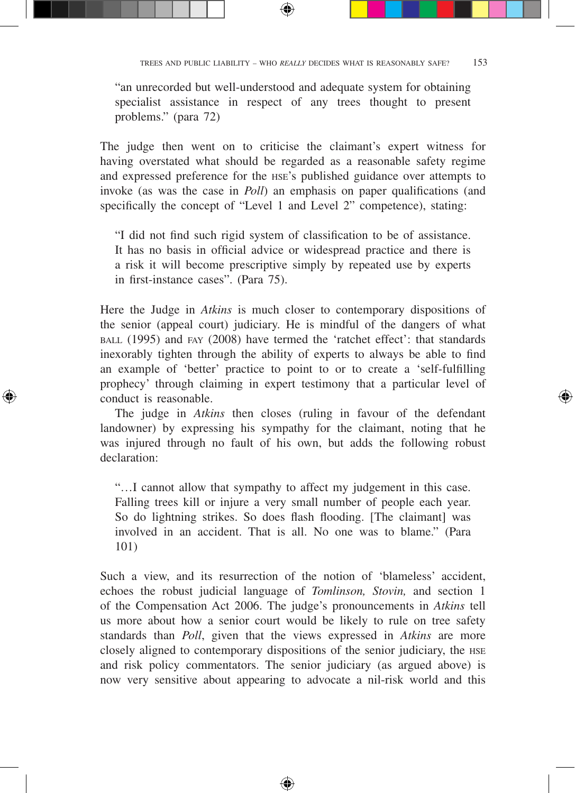"an unrecorded but well-understood and adequate system for obtaining specialist assistance in respect of any trees thought to present problems." (para 72)

⊕

The judge then went on to criticise the claimant's expert witness for having overstated what should be regarded as a reasonable safety regime and expressed preference for the HSE's published guidance over attempts to invoke (as was the case in *Poll*) an emphasis on paper qualifications (and specifically the concept of "Level 1 and Level 2" competence), stating:

"I did not find such rigid system of classification to be of assistance. It has no basis in official advice or widespread practice and there is a risk it will become prescriptive simply by repeated use by experts in first-instance cases". (Para 75).

Here the Judge in *Atkins* is much closer to contemporary dispositions of the senior (appeal court) judiciary. He is mindful of the dangers of what ball (1995) and fay (2008) have termed the 'ratchet effect': that standards inexorably tighten through the ability of experts to always be able to find an example of 'better' practice to point to or to create a 'self-fulfilling prophecy' through claiming in expert testimony that a particular level of conduct is reasonable.

The judge in *Atkins* then closes (ruling in favour of the defendant landowner) by expressing his sympathy for the claimant, noting that he was injured through no fault of his own, but adds the following robust declaration:

⊕

↔

"…I cannot allow that sympathy to affect my judgement in this case. Falling trees kill or injure a very small number of people each year. So do lightning strikes. So does flash flooding. [The claimant] was involved in an accident. That is all. No one was to blame." (Para 101)

Such a view, and its resurrection of the notion of 'blameless' accident, echoes the robust judicial language of *Tomlinson, Stovin,* and section 1 of the Compensation Act 2006. The judge's pronouncements in *Atkins* tell us more about how a senior court would be likely to rule on tree safety standards than *Poll*, given that the views expressed in *Atkins* are more closely aligned to contemporary dispositions of the senior judiciary, the hse and risk policy commentators. The senior judiciary (as argued above) is now very sensitive about appearing to advocate a nil-risk world and this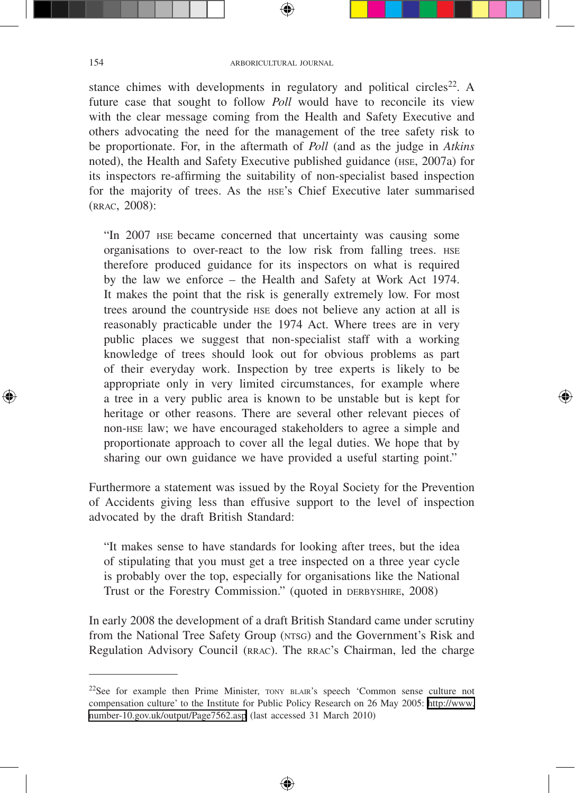₩

stance chimes with developments in regulatory and political circles<sup>22</sup>. A future case that sought to follow *Poll* would have to reconcile its view with the clear message coming from the Health and Safety Executive and others advocating the need for the management of the tree safety risk to be proportionate. For, in the aftermath of *Poll* (and as the judge in *Atkins* noted), the Health and Safety Executive published guidance (hse, 2007a) for its inspectors re-affirming the suitability of non-specialist based inspection for the majority of trees. As the HSE's Chief Executive later summarised (rrac, 2008):

"In 2007 HSE became concerned that uncertainty was causing some organisations to over-react to the low risk from falling trees. HSE therefore produced guidance for its inspectors on what is required by the law we enforce – the Health and Safety at Work Act 1974. It makes the point that the risk is generally extremely low. For most trees around the countryside hse does not believe any action at all is reasonably practicable under the 1974 Act. Where trees are in very public places we suggest that non-specialist staff with a working knowledge of trees should look out for obvious problems as part of their everyday work. Inspection by tree experts is likely to be appropriate only in very limited circumstances, for example where a tree in a very public area is known to be unstable but is kept for heritage or other reasons. There are several other relevant pieces of non-hse law; we have encouraged stakeholders to agree a simple and proportionate approach to cover all the legal duties. We hope that by sharing our own guidance we have provided a useful starting point."

Furthermore a statement was issued by the Royal Society for the Prevention of Accidents giving less than effusive support to the level of inspection advocated by the draft British Standard:

"It makes sense to have standards for looking after trees, but the idea of stipulating that you must get a tree inspected on a three year cycle is probably over the top, especially for organisations like the National Trust or the Forestry Commission." (quoted in DERBYSHIRE, 2008)

In early 2008 the development of a draft British Standard came under scrutiny from the National Tree Safety Group (NTSG) and the Government's Risk and Regulation Advisory Council (RRAC). The RRAC's Chairman, led the charge

⊕

<sup>22</sup>See for example then Prime Minister, tony blair's speech 'Common sense culture not compensation culture' to the Institute for Public Policy Research on 26 May 2005: [http://www.](http://www.number-10.gov.uk/output/Page7562.asp) [number-10.gov.uk/output/Page7562.asp](http://www.number-10.gov.uk/output/Page7562.asp) (last accessed 31 March 2010)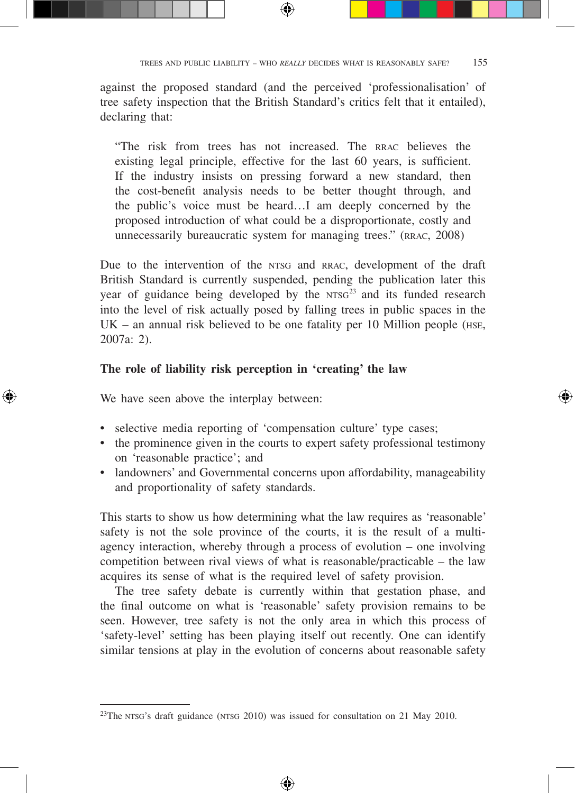against the proposed standard (and the perceived 'professionalisation' of tree safety inspection that the British Standard's critics felt that it entailed), declaring that:

⊕

"The risk from trees has not increased. The RRAC believes the existing legal principle, effective for the last 60 years, is sufficient. If the industry insists on pressing forward a new standard, then the cost-benefit analysis needs to be better thought through, and the public's voice must be heard…I am deeply concerned by the proposed introduction of what could be a disproportionate, costly and unnecessarily bureaucratic system for managing trees." (RRAC, 2008)

Due to the intervention of the NTSG and RRAC, development of the draft British Standard is currently suspended, pending the publication later this year of guidance being developed by the  $NTSG<sup>23</sup>$  and its funded research into the level of risk actually posed by falling trees in public spaces in the  $UK - an annual risk believed to be one fatality per 10 million people (HSE,$ 2007a: 2).

#### **The role of liability risk perception in 'creating' the law**

We have seen above the interplay between:

↔

- selective media reporting of 'compensation culture' type cases;
- the prominence given in the courts to expert safety professional testimony on 'reasonable practice'; and

⊕

• landowners' and Governmental concerns upon affordability, manageability and proportionality of safety standards.

This starts to show us how determining what the law requires as 'reasonable' safety is not the sole province of the courts, it is the result of a multiagency interaction, whereby through a process of evolution – one involving competition between rival views of what is reasonable/practicable – the law acquires its sense of what is the required level of safety provision.

The tree safety debate is currently within that gestation phase, and the final outcome on what is 'reasonable' safety provision remains to be seen. However, tree safety is not the only area in which this process of 'safety-level' setting has been playing itself out recently. One can identify similar tensions at play in the evolution of concerns about reasonable safety

<sup>23</sup>The NTSG's draft guidance (NTSG 2010) was issued for consultation on 21 May 2010.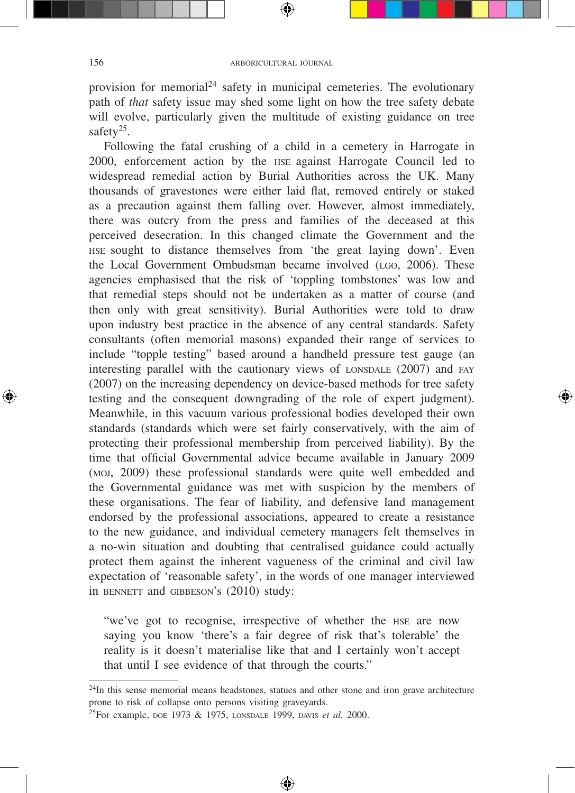₩

provision for memorial<sup>24</sup> safety in municipal cemeteries. The evolutionary path of *that* safety issue may shed some light on how the tree safety debate will evolve, particularly given the multitude of existing guidance on tree safety<sup>25</sup>.

Following the fatal crushing of a child in a cemetery in Harrogate in 2000, enforcement action by the HSE against Harrogate Council led to widespread remedial action by Burial Authorities across the UK. Many thousands of gravestones were either laid flat, removed entirely or staked as a precaution against them falling over. However, almost immediately, there was outcry from the press and families of the deceased at this perceived desecration. In this changed climate the Government and the HSE sought to distance themselves from 'the great laying down'. Even the Local Government Ombudsman became involved (LGO, 2006). These agencies emphasised that the risk of 'toppling tombstones' was low and that remedial steps should not be undertaken as a matter of course (and then only with great sensitivity). Burial Authorities were told to draw upon industry best practice in the absence of any central standards. Safety consultants (often memorial masons) expanded their range of services to include "topple testing" based around a handheld pressure test gauge (an interesting parallel with the cautionary views of  $L$ ONSDALE  $(2007)$  and FAY (2007) on the increasing dependency on device-based methods for tree safety testing and the consequent downgrading of the role of expert judgment). Meanwhile, in this vacuum various professional bodies developed their own standards (standards which were set fairly conservatively, with the aim of protecting their professional membership from perceived liability). By the time that official Governmental advice became available in January 2009 (moj, 2009) these professional standards were quite well embedded and the Governmental guidance was met with suspicion by the members of these organisations. The fear of liability, and defensive land management endorsed by the professional associations, appeared to create a resistance to the new guidance, and individual cemetery managers felt themselves in a no-win situation and doubting that centralised guidance could actually protect them against the inherent vagueness of the criminal and civil law expectation of 'reasonable safety', in the words of one manager interviewed in BENNETT and GIBBESON's (2010) study:

"we've got to recognise, irrespective of whether the HSE are now saying you know 'there's a fair degree of risk that's tolerable' the reality is it doesn't materialise like that and I certainly won't accept that until I see evidence of that through the courts."

⊕

 $24$ In this sense memorial means headstones, statues and other stone and iron grave architecture prone to risk of collapse onto persons visiting graveyards.

<sup>25</sup>For example, doe 1973 & 1975, lonsdale 1999, davis *et al.* 2000.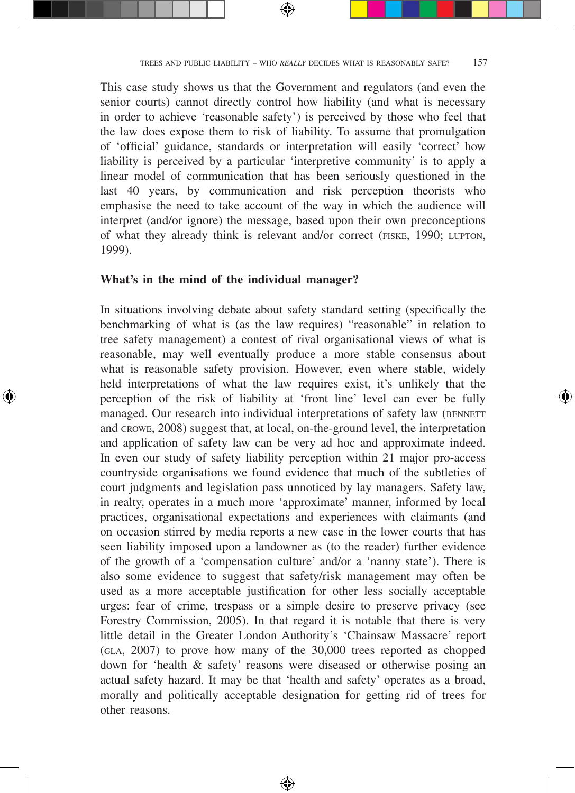This case study shows us that the Government and regulators (and even the senior courts) cannot directly control how liability (and what is necessary in order to achieve 'reasonable safety') is perceived by those who feel that the law does expose them to risk of liability. To assume that promulgation of 'official' guidance, standards or interpretation will easily 'correct' how liability is perceived by a particular 'interpretive community' is to apply a linear model of communication that has been seriously questioned in the last 40 years, by communication and risk perception theorists who emphasise the need to take account of the way in which the audience will interpret (and/or ignore) the message, based upon their own preconceptions of what they already think is relevant and/or correct (fiske, 1990; lupton, 1999).

#### **What's in the mind of the individual manager?**

↔

In situations involving debate about safety standard setting (specifically the benchmarking of what is (as the law requires) "reasonable" in relation to tree safety management) a contest of rival organisational views of what is reasonable, may well eventually produce a more stable consensus about what is reasonable safety provision. However, even where stable, widely held interpretations of what the law requires exist, it's unlikely that the perception of the risk of liability at 'front line' level can ever be fully managed. Our research into individual interpretations of safety law (BENNETT) and crowe, 2008) suggest that, at local, on-the-ground level, the interpretation and application of safety law can be very ad hoc and approximate indeed. In even our study of safety liability perception within 21 major pro-access countryside organisations we found evidence that much of the subtleties of court judgments and legislation pass unnoticed by lay managers. Safety law, in realty, operates in a much more 'approximate' manner, informed by local practices, organisational expectations and experiences with claimants (and on occasion stirred by media reports a new case in the lower courts that has seen liability imposed upon a landowner as (to the reader) further evidence of the growth of a 'compensation culture' and/or a 'nanny state'). There is also some evidence to suggest that safety/risk management may often be used as a more acceptable justification for other less socially acceptable urges: fear of crime, trespass or a simple desire to preserve privacy (see Forestry Commission, 2005). In that regard it is notable that there is very little detail in the Greater London Authority's 'Chainsaw Massacre' report (gla, 2007) to prove how many of the 30,000 trees reported as chopped down for 'health & safety' reasons were diseased or otherwise posing an actual safety hazard. It may be that 'health and safety' operates as a broad, morally and politically acceptable designation for getting rid of trees for other reasons.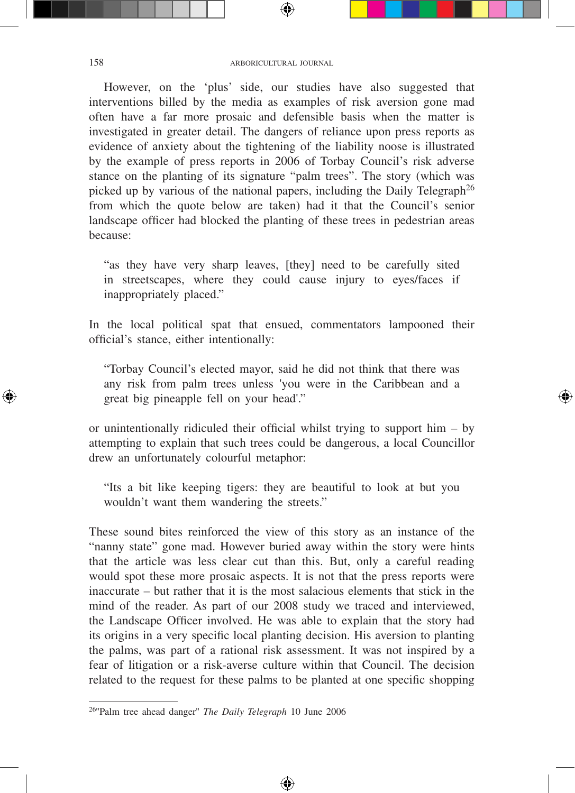#### 158 ARBORICULTURAL JOURNAL

⊕

However, on the 'plus' side, our studies have also suggested that interventions billed by the media as examples of risk aversion gone mad often have a far more prosaic and defensible basis when the matter is investigated in greater detail. The dangers of reliance upon press reports as evidence of anxiety about the tightening of the liability noose is illustrated by the example of press reports in 2006 of Torbay Council's risk adverse stance on the planting of its signature "palm trees". The story (which was picked up by various of the national papers, including the Daily Telegraph<sup>26</sup> from which the quote below are taken) had it that the Council's senior landscape officer had blocked the planting of these trees in pedestrian areas because:

"as they have very sharp leaves, [they] need to be carefully sited in streetscapes, where they could cause injury to eyes/faces if inappropriately placed."

In the local political spat that ensued, commentators lampooned their official's stance, either intentionally:

"Torbay Council's elected mayor, said he did not think that there was any risk from palm trees unless 'you were in the Caribbean and a great big pineapple fell on your head'."

⊕

or unintentionally ridiculed their official whilst trying to support him – by attempting to explain that such trees could be dangerous, a local Councillor drew an unfortunately colourful metaphor:

"Its a bit like keeping tigers: they are beautiful to look at but you wouldn't want them wandering the streets."

These sound bites reinforced the view of this story as an instance of the "nanny state" gone mad. However buried away within the story were hints that the article was less clear cut than this. But, only a careful reading would spot these more prosaic aspects. It is not that the press reports were inaccurate – but rather that it is the most salacious elements that stick in the mind of the reader. As part of our 2008 study we traced and interviewed, the Landscape Officer involved. He was able to explain that the story had its origins in a very specific local planting decision. His aversion to planting the palms, was part of a rational risk assessment. It was not inspired by a fear of litigation or a risk-averse culture within that Council. The decision related to the request for these palms to be planted at one specific shopping

◈

<sup>26&#</sup>x27;'Palm tree ahead danger'' *The Daily Telegraph* 10 June 2006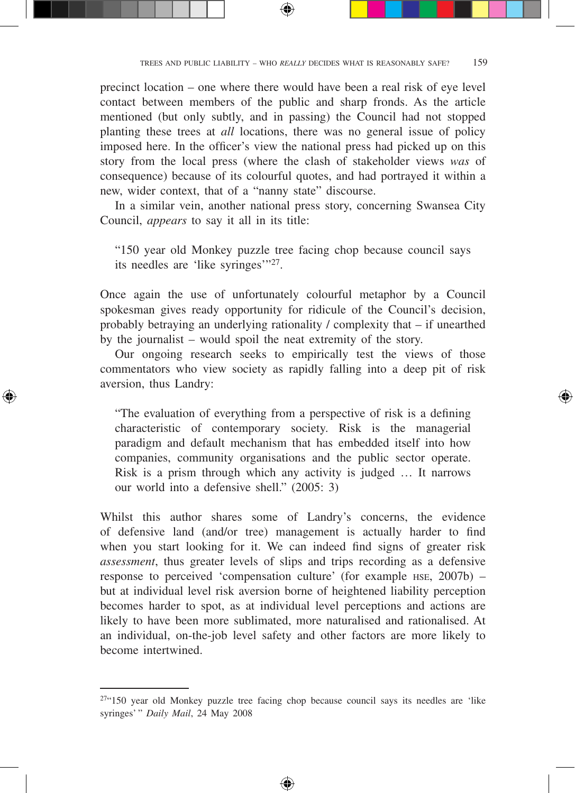precinct location – one where there would have been a real risk of eye level contact between members of the public and sharp fronds. As the article mentioned (but only subtly, and in passing) the Council had not stopped planting these trees at *all* locations, there was no general issue of policy imposed here. In the officer's view the national press had picked up on this story from the local press (where the clash of stakeholder views *was* of consequence) because of its colourful quotes, and had portrayed it within a new, wider context, that of a "nanny state" discourse.

In a similar vein, another national press story, concerning Swansea City Council, *appears* to say it all in its title:

"150 year old Monkey puzzle tree facing chop because council says its needles are 'like syringes'"27.

Once again the use of unfortunately colourful metaphor by a Council spokesman gives ready opportunity for ridicule of the Council's decision, probably betraying an underlying rationality / complexity that – if unearthed by the journalist – would spoil the neat extremity of the story.

Our ongoing research seeks to empirically test the views of those commentators who view society as rapidly falling into a deep pit of risk aversion, thus Landry:

↔

"The evaluation of everything from a perspective of risk is a defining characteristic of contemporary society. Risk is the managerial paradigm and default mechanism that has embedded itself into how companies, community organisations and the public sector operate. Risk is a prism through which any activity is judged … It narrows our world into a defensive shell." (2005: 3)

Whilst this author shares some of Landry's concerns, the evidence of defensive land (and/or tree) management is actually harder to find when you start looking for it. We can indeed find signs of greater risk *assessment*, thus greater levels of slips and trips recording as a defensive response to perceived 'compensation culture' (for example HSE, 2007b) – but at individual level risk aversion borne of heightened liability perception becomes harder to spot, as at individual level perceptions and actions are likely to have been more sublimated, more naturalised and rationalised. At an individual, on-the-job level safety and other factors are more likely to become intertwined.

 $274.150$  year old Monkey puzzle tree facing chop because council says its needles are 'like syringes' " *Daily Mail*, 24 May 2008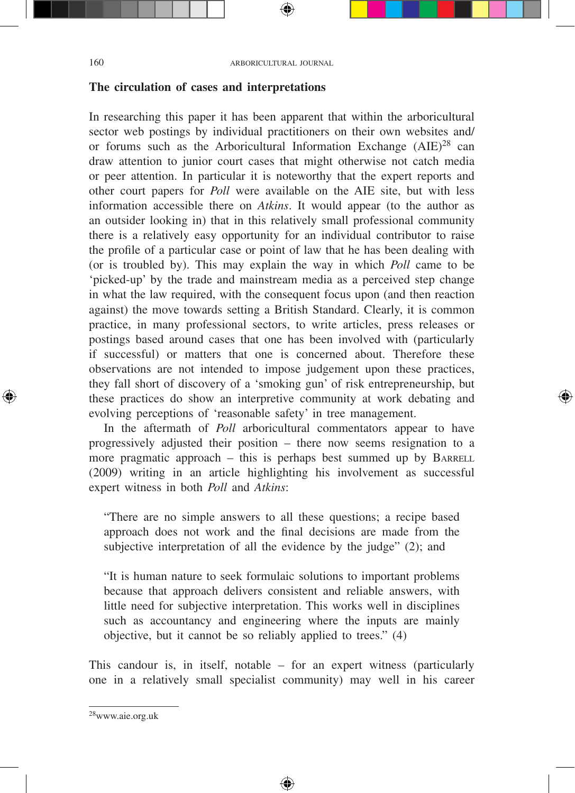#### **The circulation of cases and interpretations**

In researching this paper it has been apparent that within the arboricultural sector web postings by individual practitioners on their own websites and/ or forums such as the Arboricultural Information Exchange  $(AIE)^{28}$  can draw attention to junior court cases that might otherwise not catch media or peer attention. In particular it is noteworthy that the expert reports and other court papers for *Poll* were available on the AIE site, but with less information accessible there on *Atkins*. It would appear (to the author as an outsider looking in) that in this relatively small professional community there is a relatively easy opportunity for an individual contributor to raise the profile of a particular case or point of law that he has been dealing with (or is troubled by). This may explain the way in which *Poll* came to be 'picked-up' by the trade and mainstream media as a perceived step change in what the law required, with the consequent focus upon (and then reaction against) the move towards setting a British Standard. Clearly, it is common practice, in many professional sectors, to write articles, press releases or postings based around cases that one has been involved with (particularly if successful) or matters that one is concerned about. Therefore these observations are not intended to impose judgement upon these practices, they fall short of discovery of a 'smoking gun' of risk entrepreneurship, but these practices do show an interpretive community at work debating and evolving perceptions of 'reasonable safety' in tree management.

In the aftermath of *Poll* arboricultural commentators appear to have progressively adjusted their position – there now seems resignation to a more pragmatic approach  $-$  this is perhaps best summed up by BARRELL (2009) writing in an article highlighting his involvement as successful expert witness in both *Poll* and *Atkins*:

"There are no simple answers to all these questions; a recipe based approach does not work and the final decisions are made from the subjective interpretation of all the evidence by the judge" (2); and

"It is human nature to seek formulaic solutions to important problems because that approach delivers consistent and reliable answers, with little need for subjective interpretation. This works well in disciplines such as accountancy and engineering where the inputs are mainly objective, but it cannot be so reliably applied to trees." (4)

This candour is, in itself, notable – for an expert witness (particularly one in a relatively small specialist community) may well in his career

⊕

<sup>28</sup>www.aie.org.uk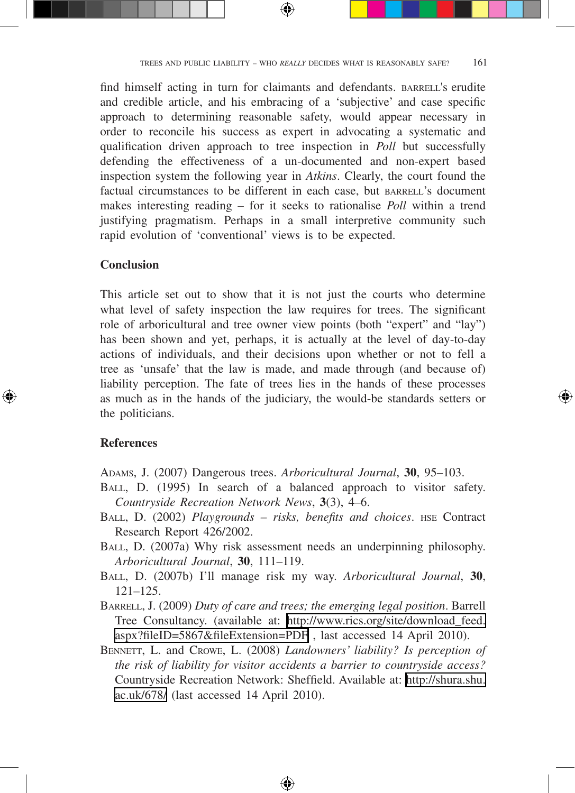find himself acting in turn for claimants and defendants. BARRELL's erudite and credible article, and his embracing of a 'subjective' and case specific approach to determining reasonable safety, would appear necessary in order to reconcile his success as expert in advocating a systematic and qualification driven approach to tree inspection in *Poll* but successfully defending the effectiveness of a un-documented and non-expert based inspection system the following year in *Atkins*. Clearly, the court found the factual circumstances to be different in each case, but BARRELL's document makes interesting reading – for it seeks to rationalise *Poll* within a trend justifying pragmatism. Perhaps in a small interpretive community such rapid evolution of 'conventional' views is to be expected.

### **Conclusion**

This article set out to show that it is not just the courts who determine what level of safety inspection the law requires for trees. The significant role of arboricultural and tree owner view points (both "expert" and "lay") has been shown and yet, perhaps, it is actually at the level of day-to-day actions of individuals, and their decisions upon whether or not to fell a tree as 'unsafe' that the law is made, and made through (and because of) liability perception. The fate of trees lies in the hands of these processes as much as in the hands of the judiciary, the would-be standards setters or the politicians.

## **References**

↔

ADAMS, J. (2007) Dangerous trees. *Arboricultural Journal*, **30**, 95–103.

- BALL, D. (1995) In search of a balanced approach to visitor safety. *Countryside Recreation Network News*, **3**(3), 4–6.
- BALL, D. (2002) *Playgrounds risks, benefits and choices*. HSE Contract Research Report 426/2002.
- BALL, D. (2007a) Why risk assessment needs an underpinning philosophy. *Arboricultural Journal*, **30**, 111–119.
- BALL, D. (2007b) I'll manage risk my way. *Arboricultural Journal*, **30**, 121–125.
- BARRELL, J. (2009) *Duty of care and trees; the emerging legal position*. Barrell Tree Consultancy. (available at: [http://www.rics.org/site/download\\_feed.](http://www.rics.org/site/download_feed.aspx?fileID=5867&fileExtension=PDF) [aspx?fileID=5867&fileExtension=PDF](http://www.rics.org/site/download_feed.aspx?fileID=5867&fileExtension=PDF) , last accessed 14 April 2010).
- BENNETT, L. and CROWE, L. (2008) *Landowners' liability? Is perception of the risk of liability for visitor accidents a barrier to countryside access?* Countryside Recreation Network: Sheffield. Available at: [http://shura.shu.](http://shura.shu.ac.uk/678/) [ac.uk/678/](http://shura.shu.ac.uk/678/) (last accessed 14 April 2010).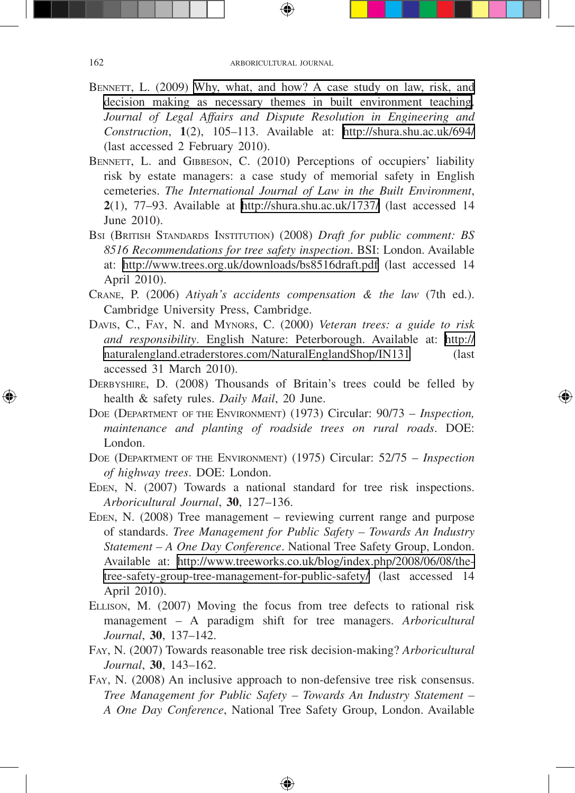- BENNETT, L. (2009) [Why, what, and how? A case study on law, risk, and](http://digitalcommons.shu.ac.uk/lrg_papers/47/)  [decision making as necessary themes in built environment teaching.](http://digitalcommons.shu.ac.uk/lrg_papers/47/) *Journal of Legal Affairs and Dispute Resolution in Engineering and Construction*, **1**(2), 105–113. Available at: <http://shura.shu.ac.uk/694/> (last accessed 2 February 2010).
- BENNETT, L. and GIBBESON, C. (2010) Perceptions of occupiers' liability risk by estate managers: a case study of memorial safety in English cemeteries. *The International Journal of Law in the Built Environment*, **2**(1), 77–93. Available at <http://shura.shu.ac.uk/1737/>(last accessed 14 June 2010).
- BSI (BRITISH STANDARDS INSTITUTION) (2008) *Draft for public comment: BS 8516 Recommendations for tree safety inspection*. BSI: London. Available at: <http://www.trees.org.uk/downloads/bs8516draft.pdf>(last accessed 14 April 2010).
- CRANE, P. (2006) *Atiyah's accidents compensation & the law* (7th ed.). Cambridge University Press, Cambridge.
- DAVIS, C., FAY, N. and MYNORS, C. (2000) *Veteran trees: a guide to risk and responsibility*. English Nature: Peterborough. Available at: [http://](http://naturalengland.etraderstores.com/NaturalEnglandShop/IN131) [naturalengland.etraderstores.com/NaturalEnglandShop/IN131](http://naturalengland.etraderstores.com/NaturalEnglandShop/IN131) (last accessed 31 March 2010).
- DERBYSHIRE, D. (2008) Thousands of Britain's trees could be felled by health & safety rules. *Daily Mail*, 20 June.
- DOE (DEPARTMENT OF THE ENVIRONMENT) (1973) Circular: 90/73 *Inspection, maintenance and planting of roadside trees on rural roads*. DOE: London.
- DOE (DEPARTMENT OF THE ENVIRONMENT) (1975) Circular: 52/75 *Inspection of highway trees*. DOE: London.
- EDEN, N. (2007) Towards a national standard for tree risk inspections. *Arboricultural Journal*, **30**, 127–136.
- EDEN, N. (2008) Tree management reviewing current range and purpose of standards. *Tree Management for Public Safety – Towards An Industry Statement – A One Day Conference*. National Tree Safety Group, London. Available at: [http://www.treeworks.co.uk/blog/index.php/2008/06/08/the](http://www.treeworks.co.uk/blog/index.php/2008/06/08/the-tree-safety-group-tree-management-for-public-safety/)[tree-safety-group-tree-management-for-public-safety/](http://www.treeworks.co.uk/blog/index.php/2008/06/08/the-tree-safety-group-tree-management-for-public-safety/) (last accessed 14 April 2010).
- ELLISON, M. (2007) Moving the focus from tree defects to rational risk management – A paradigm shift for tree managers. *Arboricultural Journal*, **30**, 137–142.
- FAY, N. (2007) Towards reasonable tree risk decision-making? *Arboricultural Journal*, **30**, 143–162.
- FAY, N. (2008) An inclusive approach to non-defensive tree risk consensus. *Tree Management for Public Safety – Towards An Industry Statement – A One Day Conference*, National Tree Safety Group, London. Available

⊕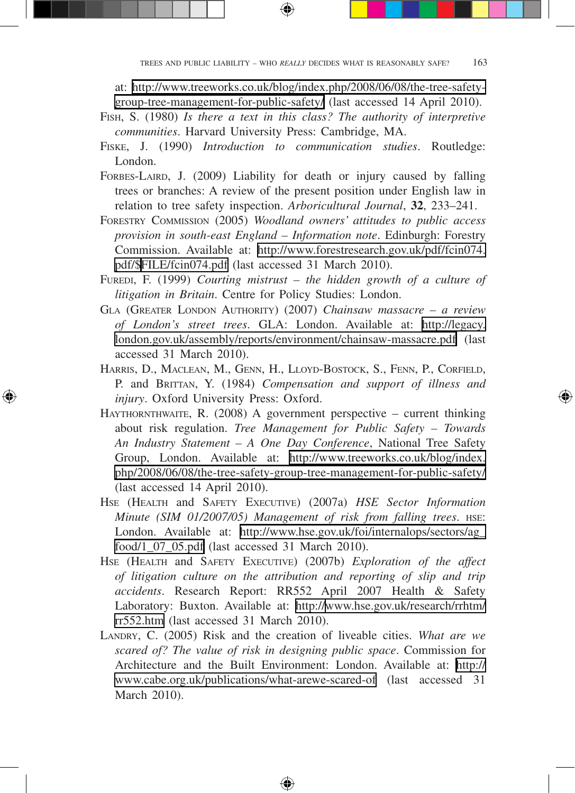at: [http://www.treeworks.co.uk/blog/index.php/2008/06/08/the-tree-safety](http://www.treeworks.co.uk/blog/index.php/2008/06/08/the-tree-safety-group-tree-management-for-public-safety/)[group-tree-management-for-public-safety/](http://www.treeworks.co.uk/blog/index.php/2008/06/08/the-tree-safety-group-tree-management-for-public-safety/) (last accessed 14 April 2010).

FISH, S. (1980) *Is there a text in this class? The authority of interpretive communities*. Harvard University Press: Cambridge, MA.

⊕

- FISKE, J. (1990) *Introduction to communication studies*. Routledge: London.
- FORBES-LAIRD, J. (2009) Liability for death or injury caused by falling trees or branches: A review of the present position under English law in relation to tree safety inspection. *Arboricultural Journal*, **32**, 233–241.
- FORESTRY COMMISSION (2005) *Woodland owners' attitudes to public access provision in south-east England – Information note*. Edinburgh: Forestry Commission. Available at: [http://www.forestresearch.gov.uk/pdf/fcin074.](http://www.forestresearch.gov.uk/pdf/fcin074.pdf/$) [pdf/\\$](http://www.forestresearch.gov.uk/pdf/fcin074.pdf/$)[FILE/fcin074.pdf](http://www.forestresearch.gov.uk/pdf/fcin074.pdf/$FILE/fcin074.pdf) (last accessed 31 March 2010).
- FUREDI, F. (1999) *Courting mistrust the hidden growth of a culture of litigation in Britain*. Centre for Policy Studies: London.
- GLA (GREATER LONDON AUTHORITY) (2007) *Chainsaw massacre a review of London's street trees*. GLA: London. Available at: [http://legacy.](http://legacy.london.gov.uk/assembly/reports/environment/chainsaw-massacre.pdf) [london.gov.uk/assembly/reports/environment/chainsaw-massacre.pdf](http://legacy.london.gov.uk/assembly/reports/environment/chainsaw-massacre.pdf) (last accessed 31 March 2010).
- HARRIS, D., MACLEAN, M., GENN, H., LLOYD-BOSTOCK, S., FENN, P., CORFIELD, P. and BRITTAN, Y. (1984) *Compensation and support of illness and injury*. Oxford University Press: Oxford.

⊕

↔

- HAYTHORNTHWAITE, R. (2008) A government perspective current thinking about risk regulation. *Tree Management for Public Safety – Towards An Industry Statement – A One Day Conference*, National Tree Safety Group, London. Available at: [http://www.treeworks.co.uk/blog/index.](http://www.treeworks.co.uk/blog/index.php/2008/06/08/the-tree-safety-group-tree-management-for-public-safety/) [php/2008/06/08/the-tree-safety-group-tree-management-for-public-safety/](http://www.treeworks.co.uk/blog/index.php/2008/06/08/the-tree-safety-group-tree-management-for-public-safety/) (last accessed 14 April 2010).
- HSE (HEALTH and SAFETY EXECUTIVE) (2007a) *HSE Sector Information Minute (SIM 01/2007/05) Management of risk from falling trees*. HSE: London. Available at: [http://www.hse.gov.uk/foi/internalops/sectors/ag\\_](http://www.hse.gov.uk/foi/internalops/sectors/ag_food/1_07_05.pdf) [food/1\\_07\\_05.pdf](http://www.hse.gov.uk/foi/internalops/sectors/ag_food/1_07_05.pdf) (last accessed 31 March 2010).
- HSE (HEALTH and SAFETY EXECUTIVE) (2007b) *Exploration of the affect of litigation culture on the attribution and reporting of slip and trip accidents*. Research Report: RR552 April 2007 Health & Safety Laboratory: Buxton. Available at: [http://www.hse.gov.uk/research/rrhtm/](http://www.hse.gov.uk/research/rrhtm/rr552.htm) [rr552.htm](http://www.hse.gov.uk/research/rrhtm/rr552.htm) (last accessed 31 March 2010).
- LANDRY, C. (2005) Risk and the creation of liveable cities. *What are we scared of? The value of risk in designing public space*. Commission for Architecture and the Built Environment: London. Available at: [http://](http://www.cabe.org.uk/publications/what-arewe-scared-of) [www.cabe.org.uk/publications/what-arewe-scared-of](http://www.cabe.org.uk/publications/what-arewe-scared-of) (last accessed 31 March 2010).